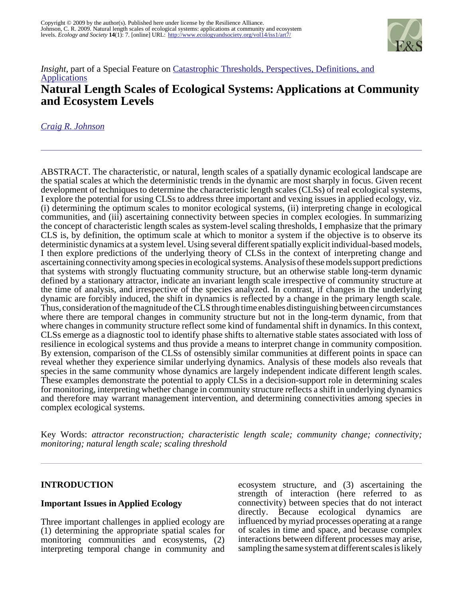

# *Insight*, part of a Special Feature on *Catastrophic Thresholds*, *Perspectives*, *Definitions*, and **[Applications](http://www.ecologyandsociety.org/viewissue.php?sf=30) Natural Length Scales of Ecological Systems: Applications at Community and Ecosystem Levels**

*[Craig R. Johnson](mailto:craig.johnson@utas.edu.au)*

ABSTRACT. The characteristic, or natural, length scales of a spatially dynamic ecological landscape are the spatial scales at which the deterministic trends in the dynamic are most sharply in focus. Given recent development of techniques to determine the characteristic length scales (CLSs) of real ecological systems, I explore the potential for using CLSs to address three important and vexing issues in applied ecology, viz. (i) determining the optimum scales to monitor ecological systems, (ii) interpreting change in ecological communities, and (iii) ascertaining connectivity between species in complex ecologies. In summarizing the concept of characteristic length scales as system-level scaling thresholds, I emphasize that the primary CLS is, by definition, the optimum scale at which to monitor a system if the objective is to observe its deterministic dynamics at a system level. Using several different spatially explicit individual-based models, I then explore predictions of the underlying theory of CLSs in the context of interpreting change and ascertaining connectivity among species in ecological systems. Analysis of these models support predictions that systems with strongly fluctuating community structure, but an otherwise stable long-term dynamic defined by a stationary attractor, indicate an invariant length scale irrespective of community structure at the time of analysis, and irrespective of the species analyzed. In contrast, if changes in the underlying dynamic are forcibly induced, the shift in dynamics is reflected by a change in the primary length scale. Thus, consideration of the magnitude of the CLS through time enables distinguishing between circumstances where there are temporal changes in community structure but not in the long-term dynamic, from that where changes in community structure reflect some kind of fundamental shift in dynamics. In this context, CLSs emerge as a diagnostic tool to identify phase shifts to alternative stable states associated with loss of resilience in ecological systems and thus provide a means to interpret change in community composition. By extension, comparison of the CLSs of ostensibly similar communities at different points in space can reveal whether they experience similar underlying dynamics. Analysis of these models also reveals that species in the same community whose dynamics are largely independent indicate different length scales. These examples demonstrate the potential to apply CLSs in a decision-support role in determining scales for monitoring, interpreting whether change in community structure reflects a shift in underlying dynamics and therefore may warrant management intervention, and determining connectivities among species in complex ecological systems.

Key Words: *attractor reconstruction; characteristic length scale; community change; connectivity; monitoring; natural length scale; scaling threshold*

### **INTRODUCTION**

### **Important Issues in Applied Ecology**

Three important challenges in applied ecology are (1) determining the appropriate spatial scales for monitoring communities and ecosystems, (2) interpreting temporal change in community and

ecosystem structure, and (3) ascertaining the strength of interaction (here referred to as connectivity) between species that do not interact directly. Because ecological dynamics are influenced by myriad processes operating at a range of scales in time and space, and because complex interactions between different processes may arise, sampling the same system at different scales is likely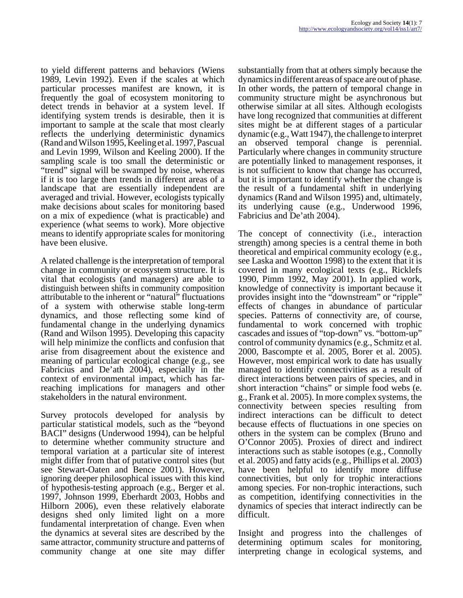to yield different patterns and behaviors (Wiens 1989, Levin 1992). Even if the scales at which particular processes manifest are known, it is frequently the goal of ecosystem monitoring to detect trends in behavior at a system level. If identifying system trends is desirable, then it is important to sample at the scale that most clearly reflects the underlying deterministic dynamics (Rand and Wilson 1995, Keeling et al. 1997, Pascual and Levin 1999, Wilson and Keeling 2000). If the sampling scale is too small the deterministic or "trend" signal will be swamped by noise, whereas if it is too large then trends in different areas of a landscape that are essentially independent are averaged and trivial. However, ecologists typically make decisions about scales for monitoring based on a mix of expedience (what is practicable) and experience (what seems to work). More objective means to identify appropriate scales for monitoring have been elusive.

A related challenge is the interpretation of temporal change in community or ecosystem structure. It is vital that ecologists (and managers) are able to distinguish between shifts in community composition attributable to the inherent or "natural" fluctuations of a system with otherwise stable long-term dynamics, and those reflecting some kind of fundamental change in the underlying dynamics (Rand and Wilson 1995). Developing this capacity will help minimize the conflicts and confusion that arise from disagreement about the existence and meaning of particular ecological change (e.g., see Fabricius and De'ath 2004), especially in the context of environmental impact, which has farreaching implications for managers and other stakeholders in the natural environment.

Survey protocols developed for analysis by particular statistical models, such as the "beyond BACI" designs (Underwood 1994), can be helpful to determine whether community structure and temporal variation at a particular site of interest might differ from that of putative control sites (but see Stewart-Oaten and Bence 2001). However, ignoring deeper philosophical issues with this kind of hypothesis-testing approach (e.g., Berger et al. 1997, Johnson 1999, Eberhardt 2003, Hobbs and Hilborn 2006), even these relatively elaborate designs shed only limited light on a more fundamental interpretation of change. Even when the dynamics at several sites are described by the same attractor, community structure and patterns of community change at one site may differ substantially from that at others simply because the dynamics in different areas of space are out of phase. In other words, the pattern of temporal change in community structure might be asynchronous but otherwise similar at all sites. Although ecologists have long recognized that communities at different sites might be at different stages of a particular dynamic (e.g., Watt 1947), the challenge to interpret an observed temporal change is perennial. Particularly where changes in community structure are potentially linked to management responses, it is not sufficient to know that change has occurred, but it is important to identify whether the change is the result of a fundamental shift in underlying dynamics (Rand and Wilson 1995) and, ultimately, its underlying cause (e.g., Underwood 1996, Fabricius and De'ath 2004).

The concept of connectivity (i.e., interaction strength) among species is a central theme in both theoretical and empirical community ecology (e.g., see Laska and Wootton 1998) to the extent that it is covered in many ecological texts (e.g., Ricklefs 1990, Pimm 1992, May 2001). In applied work, knowledge of connectivity is important because it provides insight into the "downstream" or "ripple" effects of changes in abundance of particular species. Patterns of connectivity are, of course, fundamental to work concerned with trophic cascades and issues of "top-down" vs. "bottom-up" control of community dynamics (e.g., Schmitz et al. 2000, Bascompte et al. 2005, Borer et al. 2005). However, most empirical work to date has usually managed to identify connectivities as a result of direct interactions between pairs of species, and in short interaction "chains" or simple food webs (e. g., Frank et al. 2005). In more complex systems, the connectivity between species resulting from indirect interactions can be difficult to detect because effects of fluctuations in one species on others in the system can be complex (Bruno and O'Connor 2005). Proxies of direct and indirect interactions such as stable isotopes (e.g., Connolly et al. 2005) and fatty acids (e.g., Phillips et al. 2003) have been helpful to identify more diffuse connectivities, but only for trophic interactions among species. For non-trophic interactions, such as competition, identifying connectivities in the dynamics of species that interact indirectly can be difficult.

Insight and progress into the challenges of determining optimum scales for monitoring, interpreting change in ecological systems, and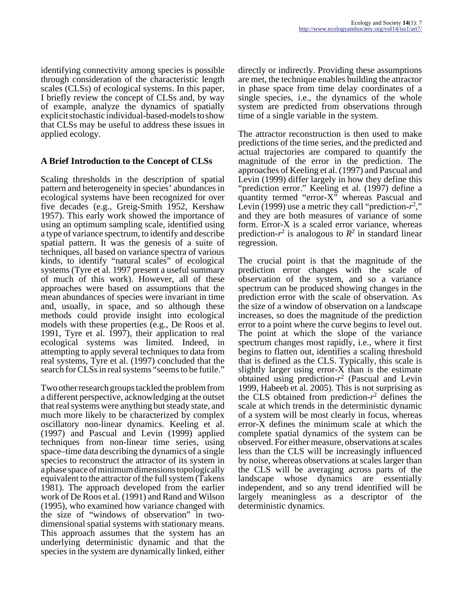identifying connectivity among species is possible through consideration of the characteristic length scales (CLSs) of ecological systems. In this paper, I briefly review the concept of CLSs and, by way of example, analyze the dynamics of spatially explicit stochastic individual-based-models to show that CLSs may be useful to address these issues in applied ecology.

### **A Brief Introduction to the Concept of CLSs**

Scaling thresholds in the description of spatial pattern and heterogeneity in species' abundances in ecological systems have been recognized for over five decades (e.g., Greig-Smith 1952, Kershaw 1957). This early work showed the importance of using an optimum sampling scale, identified using a type of variance spectrum, to identify and describe spatial pattern. It was the genesis of a suite of techniques, all based on variance spectra of various kinds, to identify "natural scales" of ecological systems (Tyre et al. 1997 present a useful summary of much of this work). However, all of these approaches were based on assumptions that the mean abundances of species were invariant in time and, usually, in space, and so although these methods could provide insight into ecological models with these properties (e.g., De Roos et al. 1991, Tyre et al. 1997), their application to real ecological systems was limited. Indeed, in attempting to apply several techniques to data from real systems, Tyre et al. (1997) concluded that the search for CLSs in real systems "seems to be futile."

Two other research groups tackled the problem from a different perspective, acknowledging at the outset that real systems were anything but steady state, and much more likely to be characterized by complex oscillatory non-linear dynamics. Keeling et al. (1997) and Pascual and Levin (1999) applied techniques from non-linear time series, using space–time data describing the dynamics of a single species to reconstruct the attractor of its system in a phase space of minimum dimensions topologically equivalent to the attractor of the full system (Takens 1981). The approach developed from the earlier work of De Roos et al. (1991) and Rand and Wilson (1995), who examined how variance changed with the size of "windows of observation" in twodimensional spatial systems with stationary means. This approach assumes that the system has an underlying deterministic dynamic and that the species in the system are dynamically linked, either directly or indirectly. Providing these assumptions are met, the technique enables building the attractor in phase space from time delay coordinates of a single species, i.e., the dynamics of the whole system are predicted from observations through time of a single variable in the system.

The attractor reconstruction is then used to make predictions of the time series, and the predicted and actual trajectories are compared to quantify the magnitude of the error in the prediction. The approaches of Keeling et al. (1997) and Pascual and Levin (1999) differ largely in how they define this "prediction error." Keeling et al. (1997) define a quantity termed "error-X" whereas Pascual and Levin (1999) use a metric they call "prediction- $r^2$ ," and they are both measures of variance of some form. Error-X is a scaled error variance, whereas prediction- $r^2$  is analogous to  $R^2$  in standard linear regression.

The crucial point is that the magnitude of the prediction error changes with the scale of observation of the system, and so a variance spectrum can be produced showing changes in the prediction error with the scale of observation. As the size of a window of observation on a landscape increases, so does the magnitude of the prediction error to a point where the curve begins to level out. The point at which the slope of the variance spectrum changes most rapidly, i.e., where it first begins to flatten out, identifies a scaling threshold that is defined as the CLS. Typically, this scale is slightly larger using error-X than is the estimate obtained using prediction-*r* 2 (Pascual and Levin 1999, Habeeb et al. 2005). This is not surprising as the CLS obtained from prediction- $r^2$  defines the scale at which trends in the deterministic dynamic of a system will be most clearly in focus, whereas error-X defines the minimum scale at which the complete spatial dynamics of the system can be observed. For either measure, observations at scales less than the CLS will be increasingly influenced by noise, whereas observations at scales larger than the CLS will be averaging across parts of the landscape whose dynamics are essentially independent, and so any trend identified will be largely meaningless as a descriptor of the deterministic dynamics.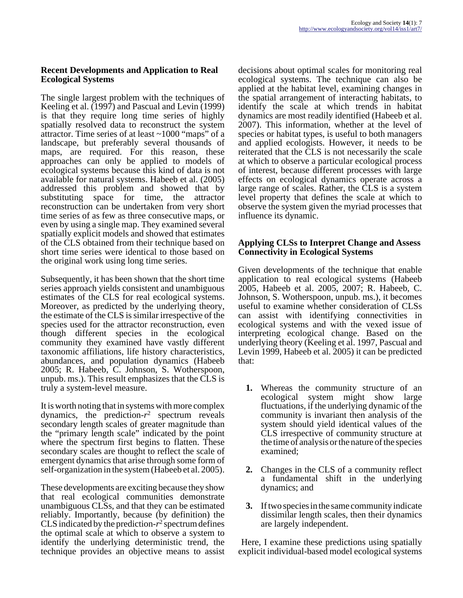### **Recent Developments and Application to Real Ecological Systems**

The single largest problem with the techniques of Keeling et al. (1997) and Pascual and Levin (1999) is that they require long time series of highly spatially resolved data to reconstruct the system attractor. Time series of at least ~1000 "maps" of a landscape, but preferably several thousands of maps, are required. For this reason, these approaches can only be applied to models of ecological systems because this kind of data is not available for natural systems. Habeeb et al. (2005) addressed this problem and showed that by substituting space for time, the attractor reconstruction can be undertaken from very short time series of as few as three consecutive maps, or even by using a single map. They examined several spatially explicit models and showed that estimates of the CLS obtained from their technique based on short time series were identical to those based on the original work using long time series.

Subsequently, it has been shown that the short time series approach yields consistent and unambiguous estimates of the CLS for real ecological systems. Moreover, as predicted by the underlying theory, the estimate of the CLS is similar irrespective of the species used for the attractor reconstruction, even though different species in the ecological community they examined have vastly different taxonomic affiliations, life history characteristics, abundances, and population dynamics (Habeeb 2005; R. Habeeb, C. Johnson, S. Wotherspoon, unpub. ms.). This result emphasizes that the CLS is truly a system-level measure.

It is worth noting that in systems with more complex dynamics, the prediction- $r^2$  spectrum reveals secondary length scales of greater magnitude than the "primary length scale" indicated by the point where the spectrum first begins to flatten. These secondary scales are thought to reflect the scale of emergent dynamics that arise through some form of self-organization in the system (Habeeb et al. 2005).

These developments are exciting because they show that real ecological communities demonstrate unambiguous CLSs, and that they can be estimated reliably. Importantly, because (by definition) the CLS indicated by the prediction- $r^2$  spectrum defines the optimal scale at which to observe a system to identify the underlying deterministic trend, the technique provides an objective means to assist

decisions about optimal scales for monitoring real ecological systems. The technique can also be applied at the habitat level, examining changes in the spatial arrangement of interacting habitats, to identify the scale at which trends in habitat dynamics are most readily identified (Habeeb et al. 2007). This information, whether at the level of species or habitat types, is useful to both managers and applied ecologists. However, it needs to be reiterated that the CLS is not necessarily the scale at which to observe a particular ecological process of interest, because different processes with large effects on ecological dynamics operate across a large range of scales. Rather, the CLS is a system level property that defines the scale at which to observe the system given the myriad processes that influence its dynamic.

#### **Applying CLSs to Interpret Change and Assess Connectivity in Ecological Systems**

Given developments of the technique that enable application to real ecological systems (Habeeb 2005, Habeeb et al. 2005, 2007; R. Habeeb, C. Johnson, S. Wotherspoon, unpub. ms.), it becomes useful to examine whether consideration of CLSs can assist with identifying connectivities in ecological systems and with the vexed issue of interpreting ecological change. Based on the underlying theory (Keeling et al. 1997, Pascual and Levin 1999, Habeeb et al. 2005) it can be predicted that:

- **1.** Whereas the community structure of an ecological system might show large fluctuations, if the underlying dynamic of the community is invariant then analysis of the system should yield identical values of the CLS irrespective of community structure at the time of analysis or the nature of the species examined;
- **2.** Changes in the CLS of a community reflect a fundamental shift in the underlying dynamics; and
- **3.** If two species in the same community indicate dissimilar length scales, then their dynamics are largely independent.

 Here, I examine these predictions using spatially explicit individual-based model ecological systems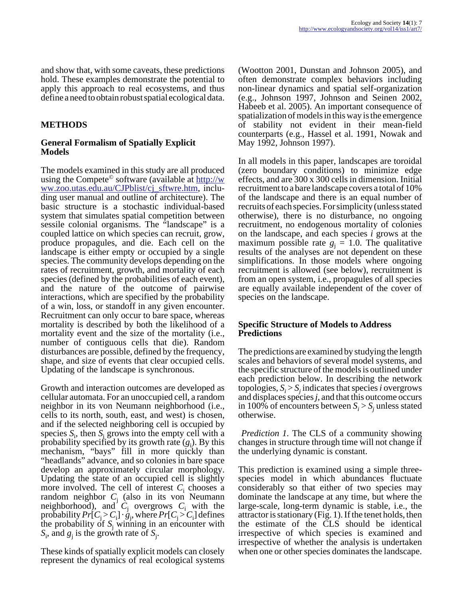and show that, with some caveats, these predictions hold. These examples demonstrate the potential to apply this approach to real ecosystems, and thus define a need to obtain robust spatial ecological data.

### **METHODS**

#### **General Formalism of Spatially Explicit Models**

The models examined in this study are all produced using the Compete<sup>©</sup> software (available at [http://w](http://www.zoo.utas.edu.au/CJPblist/cj_sftwre.htm) [ww.zoo.utas.edu.au/CJPblist/cj\\_sftwre.htm,](http://www.zoo.utas.edu.au/CJPblist/cj_sftwre.htm) including user manual and outline of architecture). The basic structure is a stochastic individual-based system that simulates spatial competition between sessile colonial organisms. The "landscape" is a coupled lattice on which species can recruit, grow, produce propagules, and die. Each cell on the landscape is either empty or occupied by a single species. The community develops depending on the rates of recruitment, growth, and mortality of each species (defined by the probabilities of each event), and the nature of the outcome of pairwise interactions, which are specified by the probability of a win, loss, or standoff in any given encounter. Recruitment can only occur to bare space, whereas mortality is described by both the likelihood of a mortality event and the size of the mortality (i.e., number of contiguous cells that die). Random disturbances are possible, defined by the frequency, shape, and size of events that clear occupied cells. Updating of the landscape is synchronous.

Growth and interaction outcomes are developed as cellular automata. For an unoccupied cell, a random neighbor in its von Neumann neighborhood (i.e., cells to its north, south, east, and west) is chosen, and if the selected neighboring cell is occupied by species  $S_i$ , then  $S_i$  grows into the empty cell with a probability specified by its growth rate (g<sub>i</sub>). By this mechanism, "bays" fill in more quickly than "headlands" advance, and so colonies in bare space develop an approximately circular morphology. Updating the state of an occupied cell is slightly more involved. The cell of interest  $C_i$  chooses a random neighbor *C*<sup>j</sup> (also in its von Neumann neighborhood), and  $C_j$  overgrows  $C_i$  with the probability  $Pr[C_j > C_i] \cdot g_j$ , where  $Pr[C_j > C_i]$  defines the probability of  $S_j$  winning in an encounter with *S*i , and *g*<sup>j</sup> is the growth rate of *S*<sup>j</sup> .

These kinds of spatially explicit models can closely represent the dynamics of real ecological systems (Wootton 2001, Dunstan and Johnson 2005), and often demonstrate complex behaviors including non-linear dynamics and spatial self-organization (e.g., Johnson 1997, Johnson and Seinen 2002, Habeeb et al. 2005). An important consequence of spatialization of models in this way is the emergence of stability not evident in their mean-field counterparts (e.g., Hassel et al. 1991, Nowak and May 1992, Johnson 1997).

In all models in this paper, landscapes are toroidal (zero boundary conditions) to minimize edge effects, and are 300 x 300 cells in dimension. Initial recruitment to a bare landscape covers a total of 10% of the landscape and there is an equal number of recruits of each species. For simplicity (unless stated otherwise), there is no disturbance, no ongoing recruitment, no endogenous mortality of colonies on the landscape, and each species *i* grows at the maximum possible rate  $g_j = 1.0$ . The qualitative results of the analyses are not dependent on these simplifications. In those models where ongoing recruitment is allowed (see below), recruitment is from an open system, i.e., propagules of all species are equally available independent of the cover of species on the landscape.

#### **Specific Structure of Models to Address Predictions**

The predictions are examined by studying the length scales and behaviors of several model systems, and the specific structure of the models is outlined under each prediction below. In describing the network topologies,  $S_i > S_j$  indicates that species *i* overgrows and displaces species *j*, and that this outcome occurs in 100% of encounters between  $S_i > S_j$  unless stated otherwise.

*Prediction 1.* The CLS of a community showing changes in structure through time will not change if the underlying dynamic is constant.

This prediction is examined using a simple threespecies model in which abundances fluctuate considerably so that either of two species may dominate the landscape at any time, but where the large-scale, long-term dynamic is stable, i.e., the attractor is stationary (Fig. 1). If the tenet holds, then the estimate of the CLS should be identical irrespective of which species is examined and irrespective of whether the analysis is undertaken when one or other species dominates the landscape.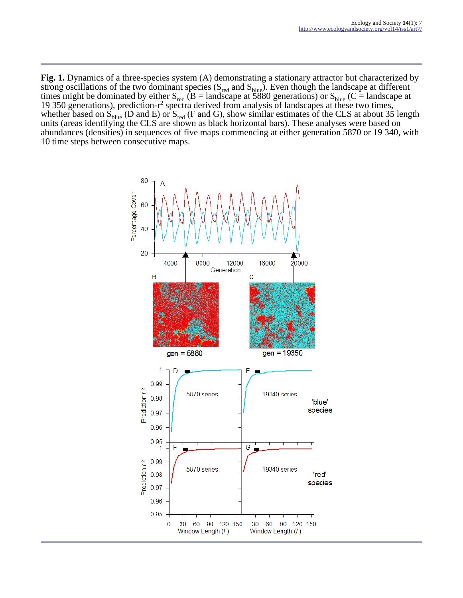Fig. 1. Dynamics of a three-species system (A) demonstrating a stationary attractor but characterized by strong oscillations of the two dominant species ( $S_{red}$  and  $S_{blue}$ ). Even though the landscape at different times might be dominated by either  $S_{red}$  (B = landscape at 5880 generations) or  $S_{blue}$  (C = landscape at 19 350 generations), prediction-r<sup>2</sup> spectra derived from analysis of landscapes at these two times, whether based on  $S_{blue}$  (D and E) or  $S_{red}$  (F and G), show similar estimates of the CLS at about 35 length units (areas identifying the CLS are shown as black horizontal bars). These analyses were based on abundances (densities) in sequences of five maps commencing at either generation 5870 or 19 340, with 10 time steps between consecutive maps.

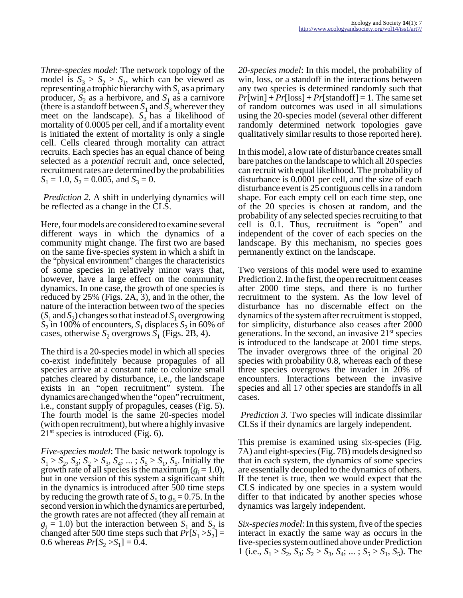*Three-species model*: The network topology of the model is  $S_3 > S_2 > S_1$ , which can be viewed as representing a trophic hierarchy with  $S_1$  as a primary producer,  $S_2$  as a herbivore, and  $S_1$  as a carnivore (there is a standoff between  $S_1$  and  $\overline{S_3}$  wherever they meet on the landscape).  $S_3$  has a likelihood of mortality of 0.0005 per cell, and if a mortality event is initiated the extent of mortality is only a single cell. Cells cleared through mortality can attract recruits. Each species has an equal chance of being selected as a *potential* recruit and, once selected, recruitment rates are determined by the probabilities  $S_1 = 1.0$ ,  $S_2 = 0.005$ , and  $S_3 = 0$ .

*Prediction 2.* A shift in underlying dynamics will be reflected as a change in the CLS.

Here, four models are considered to examine several different ways in which the dynamics of a community might change. The first two are based on the same five-species system in which a shift in the "physical environment" changes the characteristics of some species in relatively minor ways that, however, have a large effect on the community dynamics. In one case, the growth of one species is reduced by 25% (Figs. 2A, 3), and in the other, the nature of the interaction between two of the species  $(S_1 \text{ and } S_2)$  changes so that instead of  $S_1$  overgrowing  $S_2$  in 100% of encounters,  $S_1$  displaces  $S_2$  in 60% of cases, otherwise  $S_2$  overgrows  $S_1$  (Figs. 2B, 4).

The third is a 20-species model in which all species co-exist indefinitely because propagules of all species arrive at a constant rate to colonize small patches cleared by disturbance, i.e., the landscape exists in an "open recruitment" system. The dynamics are changed when the "open" recruitment, i.e., constant supply of propagules, ceases (Fig. 5). The fourth model is the same 20-species model (with open recruitment), but where a highly invasive  $21<sup>st</sup>$  species is introduced (Fig. 6).

*Five-species model*: The basic network topology is  $S_1 > S_2, S_3; S_2 > S_3, S_4; \dots; S_5 > S_1, S_5$ . Initially the growth rate of all species is the maximum  $(g_i = 1.0)$ , but in one version of this system a significant shift in the dynamics is introduced after 500 time steps by reducing the growth rate of  $S_5$  to  $g_5 = 0.75$ . In the second version in which the dynamics are perturbed, the growth rates are not affected (they all remain at  $g_i = 1.0$ ) but the interaction between  $S_1$  and  $S_2$  is changed after 500 time steps such that  $Pr[S_1 > S_2] =$ 0.6 whereas  $Pr[S_2 > S_1] = 0.4$ .

*20-species model*: In this model, the probability of win, loss, or a standoff in the interactions between any two species is determined randomly such that  $Pr[\text{win}] + Pr[\text{loss}] + Pr[\text{standoff}] = 1$ . The same set of random outcomes was used in all simulations using the 20-species model (several other different randomly determined network topologies gave qualitatively similar results to those reported here).

In this model, a low rate of disturbance creates small bare patches on the landscape to which all 20 species can recruit with equal likelihood. The probability of disturbance is 0.0001 per cell, and the size of each disturbance event is 25 contiguous cells in a random shape. For each empty cell on each time step, one of the 20 species is chosen at random, and the probability of any selected species recruiting to that cell is 0.1. Thus, recruitment is "open" and independent of the cover of each species on the landscape. By this mechanism, no species goes permanently extinct on the landscape.

Two versions of this model were used to examine Prediction 2. In the first, the open recruitment ceases after 2000 time steps, and there is no further recruitment to the system. As the low level of disturbance has no discernable effect on the dynamics of the system after recruitment is stopped, for simplicity, disturbance also ceases after 2000 generations. In the second, an invasive  $21<sup>st</sup>$  species is introduced to the landscape at 2001 time steps. The invader overgrows three of the original 20 species with probability 0.8, whereas each of these three species overgrows the invader in 20% of encounters. Interactions between the invasive species and all 17 other species are standoffs in all cases.

*Prediction 3.* Two species will indicate dissimilar CLSs if their dynamics are largely independent.

This premise is examined using six-species (Fig. 7A) and eight-species (Fig. 7B) models designed so that in each system, the dynamics of some species are essentially decoupled to the dynamics of others. If the tenet is true, then we would expect that the CLS indicated by one species in a system would differ to that indicated by another species whose dynamics was largely independent.

*Six-species model*: In this system, five of the species interact in exactly the same way as occurs in the five-species system outlined above under Prediction 1 (i.e.,  $S_1 > S_2$ ,  $S_3$ ;  $S_2 > S_3$ ,  $S_4$ ; ...;  $S_5 > S_1$ ,  $S_5$ ). The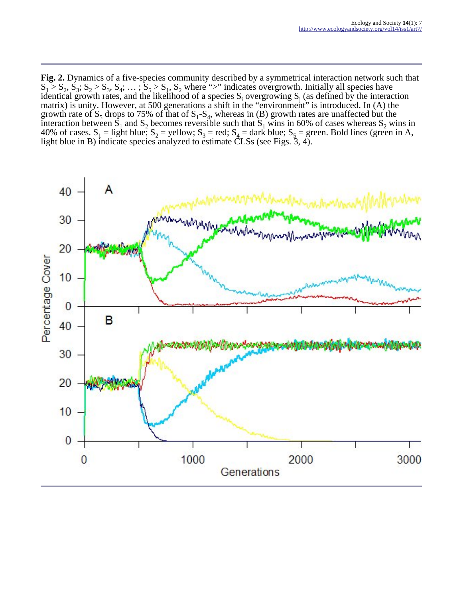**Fig. 2.** Dynamics of a five-species community described by a symmetrical interaction network such that  $S_1 > S_2$ ,  $S_3$ ;  $S_2 > S_3$ ,  $S_4$ ; ...;  $S_5 > S_1$ ,  $S_2$  where ">" indicates overgrowth. Initially all species have identical growth rates, and the likelihood of a species  $S_i$  overgrowing  $S_j$  (as defined by the interaction matrix) is unity. However, at 500 generations a shift in the "environment" is introduced. In (A) the growth rate of  $S_5$  drops to 75% of that of  $S_1$ - $S_4$ , whereas in (B) growth rates are unaffected but the interaction between  $S_1$  and  $S_2$  becomes reversible such that  $S_1$  wins in 60% of cases whereas  $S_2$  wins in 40% of cases.  $S_1 =$  light blue;  $S_2 =$  yellow;  $S_3 =$  red;  $S_4 =$  dark blue;  $S_5 =$  green. Bold lines (green in A, light blue in B) indicate species analyzed to estimate CLSs (see Figs. 3, 4).

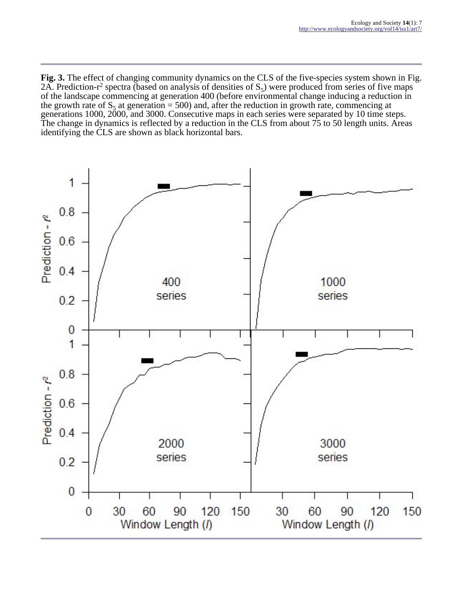**Fig. 3.** The effect of changing community dynamics on the CLS of the five-species system shown in Fig. 2A. Prediction- $r^2$  spectra (based on analysis of densities of  $S_5$ ) were produced from series of five maps of the landscape commencing at generation 400 (before environmental change inducing a reduction in the growth rate of  $S_5$  at generation = 500) and, after the reduction in growth rate, commencing at generations 1000, 2000, and 3000. Consecutive maps in each series were separated by 10 time steps. The change in dynamics is reflected by a reduction in the CLS from about 75 to 50 length units. Areas identifying the CLS are shown as black horizontal bars.

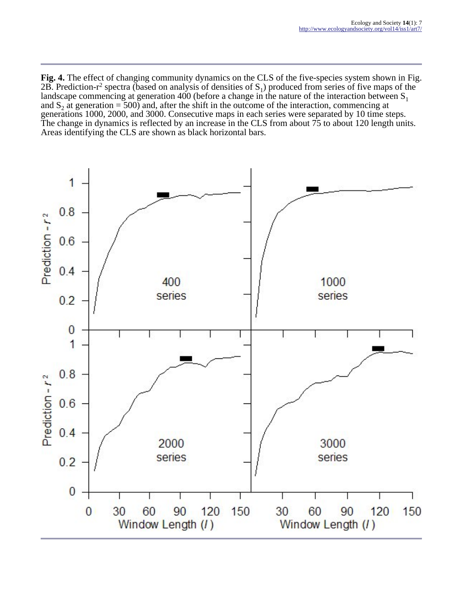**Fig. 4.** The effect of changing community dynamics on the CLS of the five-species system shown in Fig. 2B. Prediction-r<sup>2</sup> spectra (based on analysis of densities of  $S_1$ ) produced from series of five maps of the landscape commencing at generation 400 (before a change in the nature of the interaction between  $S_1$ ) and  $S_2$  at generation = 500) and, after the shift in the outcome of the interaction, commencing at generations 1000, 2000, and 3000. Consecutive maps in each series were separated by 10 time steps. The change in dynamics is reflected by an increase in the CLS from about 75 to about 120 length units. Areas identifying the CLS are shown as black horizontal bars.

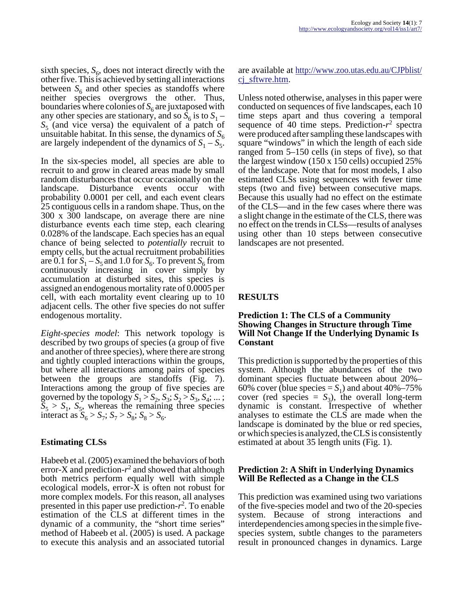sixth species,  $S_6$ , does not interact directly with the other five. This is achieved by setting all interactions between  $S_6$  and other species as standoffs where neither species overgrows the other. Thus, boundaries where colonies of  $S_6$  are juxtaposed with any other species are stationary, and so  $S_6$  is to  $S_1$  –  $S_5$  (and vice versa) the equivalent of a patch of unsuitable habitat. In this sense, the dynamics of  $S_6$ are largely independent of the dynamics of  $S_1 - S_5$ .

In the six-species model, all species are able to recruit to and grow in cleared areas made by small random disturbances that occur occasionally on the landscape. Disturbance events occur with probability 0.0001 per cell, and each event clears 25 contiguous cells in a random shape. Thus, on the 300 x 300 landscape, on average there are nine disturbance events each time step, each clearing 0.028% of the landscape. Each species has an equal chance of being selected to *potentially* recruit to empty cells, but the actual recruitment probabilities are  $0.1$  for  $S_1 - S_5$  and  $1.0$  for  $S_6$ . To prevent  $S_6$  from continuously increasing in cover simply by accumulation at disturbed sites, this species is assigned an endogenous mortality rate of 0.0005 per cell, with each mortality event clearing up to 10 adjacent cells. The other five species do not suffer endogenous mortality.

*Eight-species model*: This network topology is described by two groups of species (a group of five and another of three species), where there are strong and tightly coupled interactions within the groups, but where all interactions among pairs of species between the groups are standoffs (Fig. 7). Interactions among the group of five species are governed by the topology  $S_1 > S_2$ ,  $S_3$ ;  $S_2 > S_3$ ,  $S_4$ ; ...;  $S_5 > S_1$ ,  $S_5$ , whereas the remaining three species interact as  $S_6 > S_7$ ;  $S_7 > S_8$ ;  $S_8 > S_6$ .

## **Estimating CLSs**

Habeeb et al. (2005) examined the behaviors of both error-X and prediction- $r^2$  and showed that although both metrics perform equally well with simple ecological models, error-X is often not robust for more complex models. For this reason, all analyses presented in this paper use prediction-*r* 2 . To enable estimation of the CLS at different times in the dynamic of a community, the "short time series" method of Habeeb et al. (2005) is used. A package to execute this analysis and an associated tutorial

are available at [http://www.zoo.utas.edu.au/CJPblist/](http://www.zoo.utas.edu.au/CJPblist/cj_sftwre.htm) [cj\\_sftwre.htm](http://www.zoo.utas.edu.au/CJPblist/cj_sftwre.htm).

Unless noted otherwise, analyses in this paper were conducted on sequences of five landscapes, each 10 time steps apart and thus covering a temporal sequence of  $40$  time steps. Prediction- $r^2$  spectra were produced after sampling these landscapes with square "windows" in which the length of each side ranged from 5–150 cells (in steps of five), so that the largest window (150 x 150 cells) occupied 25% of the landscape. Note that for most models, I also estimated CLSs using sequences with fewer time steps (two and five) between consecutive maps. Because this usually had no effect on the estimate of the CLS—and in the few cases where there was a slight change in the estimate of the CLS, there was no effect on the trends in CLSs—results of analyses using other than 10 steps between consecutive landscapes are not presented.

### **RESULTS**

#### **Prediction 1: The CLS of a Community Showing Changes in Structure through Time Will Not Change If the Underlying Dynamic Is Constant**

This prediction is supported by the properties of this system. Although the abundances of the two dominant species fluctuate between about 20%– 60% cover (blue species  $= S_1$ ) and about 40%–75% cover (red species  $= S_3$ ), the overall long-term dynamic is constant. Irrespective of whether analyses to estimate the CLS are made when the landscape is dominated by the blue or red species, or which species is analyzed, the CLS is consistently estimated at about 35 length units (Fig. 1).

#### **Prediction 2: A Shift in Underlying Dynamics Will Be Reflected as a Change in the CLS**

This prediction was examined using two variations of the five-species model and two of the 20-species system. Because of strong interactions and interdependencies among species in the simple fivespecies system, subtle changes to the parameters result in pronounced changes in dynamics. Large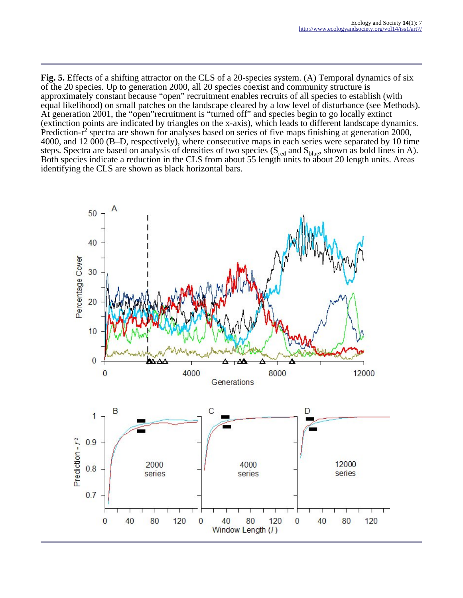**Fig. 5.** Effects of a shifting attractor on the CLS of a 20-species system. (A) Temporal dynamics of six of the 20 species. Up to generation 2000, all 20 species coexist and community structure is approximately constant because "open" recruitment enables recruits of all species to establish (with equal likelihood) on small patches on the landscape cleared by a low level of disturbance (see Methods). At generation 2001, the "open"recruitment is "turned off" and species begin to go locally extinct (extinction points are indicated by triangles on the x-axis), which leads to different landscape dynamics. Prediction-r<sup>2</sup> spectra are shown for analyses based on series of five maps finishing at generation 2000, 4000, and 12 000 (B–D, respectively), where consecutive maps in each series were separated by 10 time steps. Spectra are based on analysis of densities of two species ( $S_{\text{red}}$  and  $S_{\text{blue}}$ , shown as bold lines in A). Both species indicate a reduction in the CLS from about 55 length units to about 20 length units. Areas identifying the CLS are shown as black horizontal bars.

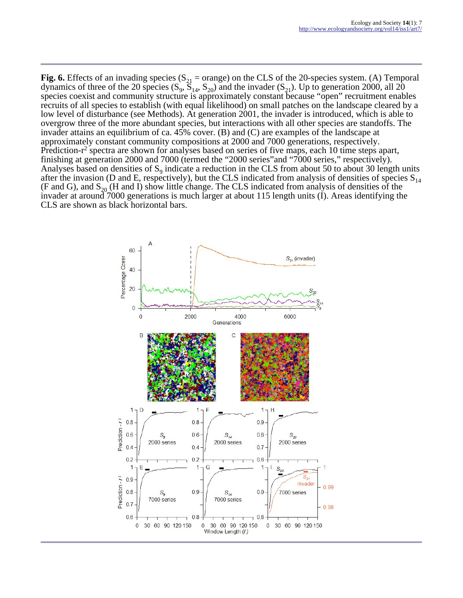**Fig. 6.** Effects of an invading species  $(S_{21} = \text{orange})$  on the CLS of the 20-species system. (A) Temporal dynamics of three of the 20 species  $(S_9, S_{14}, S_{20})$  and the invader  $(S_{21})$ . Up to generation 2000, all 20 species coexist and community structure is approximately constant because "open" recruitment enables recruits of all species to establish (with equal likelihood) on small patches on the landscape cleared by a low level of disturbance (see Methods). At generation 2001, the invader is introduced, which is able to overgrow three of the more abundant species, but interactions with all other species are standoffs. The invader attains an equilibrium of ca. 45% cover. (B) and (C) are examples of the landscape at approximately constant community compositions at 2000 and 7000 generations, respectively. Prediction-r<sup>2</sup> spectra are shown for analyses based on series of five maps, each 10 time steps apart, finishing at generation 2000 and 7000 (termed the "2000 series"and "7000 series," respectively). Analyses based on densities of  $S_9$  indicate a reduction in the CLS from about 50 to about 30 length units after the invasion (D and E, respectively), but the CLS indicated from analysis of densities of species  $S_{14}$ (F and G), and  $S_{20}$  (H and I) show little change. The CLS indicated from analysis of densities of the invader at around 7000 generations is much larger at about 115 length units (I). Areas identifying the CLS are shown as black horizontal bars.

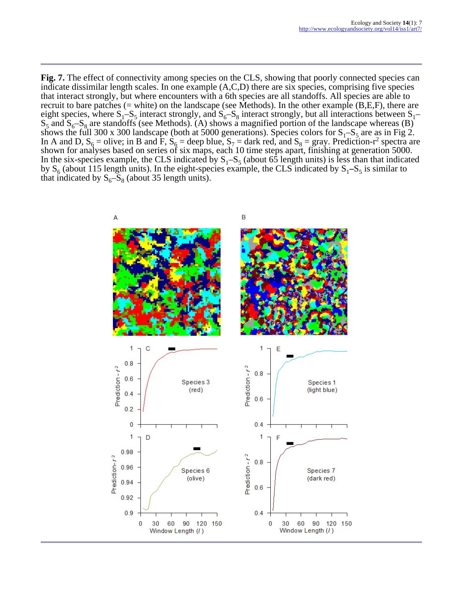**Fig. 7.** The effect of connectivity among species on the CLS, showing that poorly connected species can indicate dissimilar length scales. In one example (A,C,D) there are six species, comprising five species that interact strongly, but where encounters with a 6th species are all standoffs. All species are able to recruit to bare patches (= white) on the landscape (see Methods). In the other example (B,E,F), there are eight species, where  $S_1-S_5$  interact strongly, and  $S_6-S_8$  interact strongly, but all interactions between  $S_1$  $S_5$  and  $S_6$ – $S_8$  are standoffs (see Methods). (A) shows a magnified portion of the landscape whereas (B) shows the full 300 x 300 landscape (both at 5000 generations). Species colors for  $S_1-S_5$  are as in Fig 2. In A and D,  $S_6$  = olive; in B and F,  $S_6$  = deep blue,  $S_7$  = dark red, and  $S_8$  = gray. Prediction-r<sup>2</sup> spectra are shown for analyses based on series of six maps, each 10 time steps apart, finishing at generation 5000. In the six-species example, the CLS indicated by  $S_1-S_5$  (about 65 length units) is less than that indicated by  $S_6$  (about 115 length units). In the eight-species example, the CLS indicated by  $S_1-S_5$  is similar to that indicated by  $S_6-S_8$  (about 35 length units).

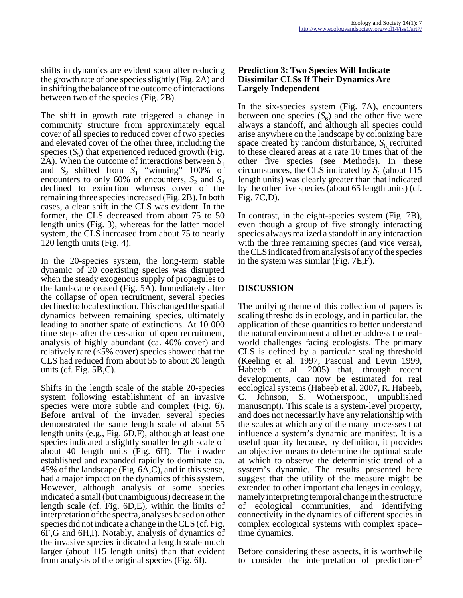shifts in dynamics are evident soon after reducing the growth rate of one species slightly (Fig. 2A) and in shifting the balance of the outcome of interactions between two of the species (Fig. 2B).

The shift in growth rate triggered a change in community structure from approximately equal cover of all species to reduced cover of two species and elevated cover of the other three, including the species  $(S_5)$  that experienced reduced growth (Fig. 2A). When the outcome of interactions between  $S_1$ and  $S_2$  shifted from  $S_1$  "winning" 100% of encounters to only 60% of encounters,  $S_2$  and  $S_4$ declined to extinction whereas cover of the remaining three species increased (Fig. 2B). In both cases, a clear shift in the CLS was evident. In the former, the CLS decreased from about 75 to 50 length units (Fig. 3), whereas for the latter model system, the CLS increased from about 75 to nearly 120 length units (Fig. 4).

In the 20-species system, the long-term stable dynamic of 20 coexisting species was disrupted when the steady exogenous supply of propagules to the landscape ceased (Fig. 5A). Immediately after the collapse of open recruitment, several species declined to local extinction. This changed the spatial dynamics between remaining species, ultimately leading to another spate of extinctions. At 10 000 time steps after the cessation of open recruitment, analysis of highly abundant (ca. 40% cover) and relatively rare (<5% cover) species showed that the CLS had reduced from about 55 to about 20 length units (cf. Fig. 5B,C).

Shifts in the length scale of the stable 20-species system following establishment of an invasive species were more subtle and complex (Fig. 6). Before arrival of the invader, several species demonstrated the same length scale of about 55 length units (e.g., Fig. 6D,F), although at least one species indicated a slightly smaller length scale of about 40 length units (Fig. 6H). The invader established and expanded rapidly to dominate ca. 45% of the landscape (Fig. 6A,C), and in this sense, had a major impact on the dynamics of this system. However, although analysis of some species indicated a small (but unambiguous) decrease in the length scale (cf. Fig. 6D,E), within the limits of interpretation of the spectra, analyses based on other species did not indicate a change in the CLS (cf. Fig. 6F,G and 6H,I). Notably, analysis of dynamics of the invasive species indicated a length scale much larger (about 115 length units) than that evident from analysis of the original species (Fig. 6I).

#### **Prediction 3: Two Species Will Indicate Dissimilar CLSs If Their Dynamics Are Largely Independent**

In the six-species system (Fig. 7A), encounters between one species  $(S_6)$  and the other five were always a standoff, and although all species could arise anywhere on the landscape by colonizing bare space created by random disturbance,  $S_6$  recruited to these cleared areas at a rate 10 times that of the other five species (see Methods). In these circumstances, the CLS indicated by  $S_6$  (about 115 length units) was clearly greater than that indicated by the other five species (about 65 length units) (cf. Fig. 7C,D).

In contrast, in the eight-species system (Fig. 7B), even though a group of five strongly interacting species always realized a standoff in any interaction with the three remaining species (and vice versa), the CLS indicated from analysis of any of the species in the system was similar (Fig. 7E,F).

## **DISCUSSION**

The unifying theme of this collection of papers is scaling thresholds in ecology, and in particular, the application of these quantities to better understand the natural environment and better address the realworld challenges facing ecologists. The primary CLS is defined by a particular scaling threshold (Keeling et al. 1997, Pascual and Levin 1999, Habeeb et al. 2005) that, through recent developments, can now be estimated for real ecological systems (Habeeb et al. 2007, R. Habeeb, C. Johnson, S. Wotherspoon, unpublished manuscript). This scale is a system-level property, and does not necessarily have any relationship with the scales at which any of the many processes that influence a system's dynamic are manifest. It is a useful quantity because, by definition, it provides an objective means to determine the optimal scale at which to observe the deterministic trend of a system's dynamic. The results presented here suggest that the utility of the measure might be extended to other important challenges in ecology, namely interpreting temporal change in the structure of ecological communities, and identifying connectivity in the dynamics of different species in complex ecological systems with complex space– time dynamics.

Before considering these aspects, it is worthwhile to consider the interpretation of prediction-*r* 2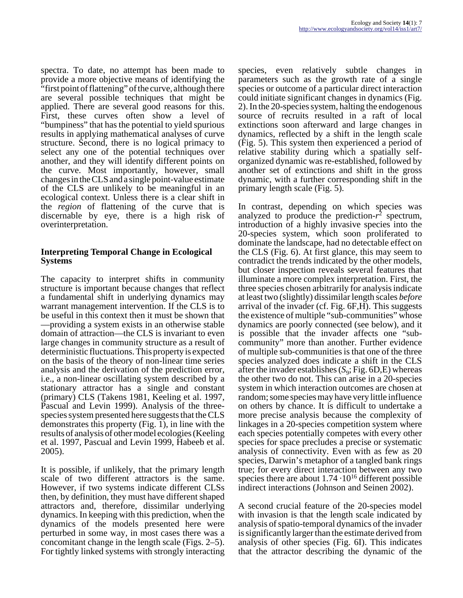spectra. To date, no attempt has been made to provide a more objective means of identifying the "first point of flattening" of the curve, although there are several possible techniques that might be applied. There are several good reasons for this. First, these curves often show a level of "bumpiness" that has the potential to yield spurious results in applying mathematical analyses of curve structure. Second, there is no logical primacy to select any one of the potential techniques over another, and they will identify different points on the curve. Most importantly, however, small changes in the CLS and a single point-value estimate of the CLS are unlikely to be meaningful in an ecological context. Unless there is a clear shift in the *region* of flattening of the curve that is discernable by eye, there is a high risk of overinterpretation.

#### **Interpreting Temporal Change in Ecological Systems**

The capacity to interpret shifts in community structure is important because changes that reflect a fundamental shift in underlying dynamics may warrant management intervention. If the CLS is to be useful in this context then it must be shown that —providing a system exists in an otherwise stable domain of attraction—the CLS is invariant to even large changes in community structure as a result of deterministic fluctuations. This property is expected on the basis of the theory of non-linear time series analysis and the derivation of the prediction error, i.e., a non-linear oscillating system described by a stationary attractor has a single and constant (primary) CLS (Takens 1981, Keeling et al. 1997, Pascual and Levin 1999). Analysis of the threespecies system presented here suggests that the CLS demonstrates this property (Fig. 1), in line with the results of analysis of other model ecologies (Keeling et al. 1997, Pascual and Levin 1999, Habeeb et al. 2005).

It is possible, if unlikely, that the primary length scale of two different attractors is the same. However, if two systems indicate different CLSs then, by definition, they must have different shaped attractors and, therefore, dissimilar underlying dynamics. In keeping with this prediction, when the dynamics of the models presented here were perturbed in some way, in most cases there was a concomitant change in the length scale (Figs. 2–5). For tightly linked systems with strongly interacting species, even relatively subtle changes in parameters such as the growth rate of a single species or outcome of a particular direct interaction could initiate significant changes in dynamics (Fig. 2). In the 20-species system, halting the endogenous source of recruits resulted in a raft of local extinctions soon afterward and large changes in dynamics, reflected by a shift in the length scale (Fig. 5). This system then experienced a period of relative stability during which a spatially selforganized dynamic was re-established, followed by another set of extinctions and shift in the gross dynamic, with a further corresponding shift in the primary length scale (Fig. 5).

In contrast, depending on which species was analyzed to produce the prediction- $r^2$  spectrum, introduction of a highly invasive species into the 20-species system, which soon proliferated to dominate the landscape, had no detectable effect on the CLS (Fig. 6). At first glance, this may seem to contradict the trends indicated by the other models, but closer inspection reveals several features that illuminate a more complex interpretation. First, the three species chosen arbitrarily for analysis indicate at least two (slightly) dissimilar length scales *before* arrival of the invader (cf. Fig. 6F,H). This suggests the existence of multiple "sub-communities" whose dynamics are poorly connected (see below), and it is possible that the invader affects one "subcommunity" more than another. Further evidence of multiple sub-communities is that one of the three species analyzed does indicate a shift in the CLS after the invader establishes  $(S_9; Fig. 6D, E)$  whereas the other two do not. This can arise in a 20-species system in which interaction outcomes are chosen at random; some species may have very little influence on others by chance. It is difficult to undertake a more precise analysis because the complexity of linkages in a 20-species competition system where each species potentially competes with every other species for space precludes a precise or systematic analysis of connectivity. Even with as few as 20 species, Darwin's metaphor of a tangled bank rings true; for every direct interaction between any two species there are about  $1.74 \cdot 10^{16}$  different possible indirect interactions (Johnson and Seinen 2002).

A second crucial feature of the 20-species model with invasion is that the length scale indicated by analysis of spatio-temporal dynamics of the invader is significantly larger than the estimate derived from analysis of other species (Fig. 6I). This indicates that the attractor describing the dynamic of the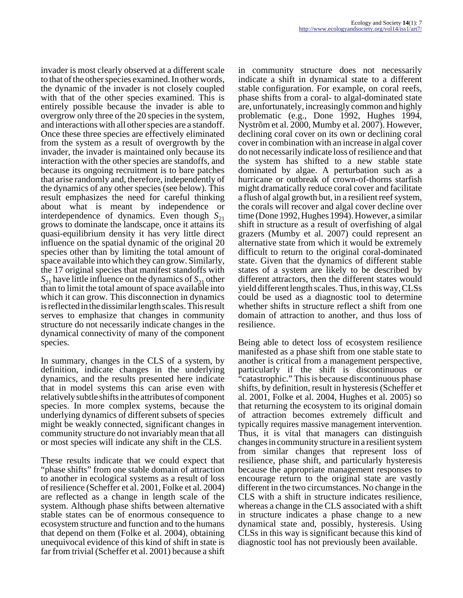invader is most clearly observed at a different scale to that of the other species examined. In other words, the dynamic of the invader is not closely coupled with that of the other species examined. This is entirely possible because the invader is able to overgrow only three of the 20 species in the system, and interactions with all other species are a standoff. Once these three species are effectively eliminated from the system as a result of overgrowth by the invader, the invader is maintained only because its interaction with the other species are standoffs, and because its ongoing recruitment is to bare patches that arise randomly and, therefore, independently of the dynamics of any other species (see below). This result emphasizes the need for careful thinking about what is meant by independence or interdependence of dynamics. Even though  $S_{21}$ grows to dominate the landscape, once it attains its quasi-equilibrium density it has very little direct influence on the spatial dynamic of the original 20 species other than by limiting the total amount of space available into which they can grow. Similarly, the 17 original species that manifest standoffs with  $S_{21}$  have little influence on the dynamics of  $S_{21}$  other than to limit the total amount of space available into which it can grow. This disconnection in dynamics is reflected in the dissimilar length scales. This result serves to emphasize that changes in community structure do not necessarily indicate changes in the dynamical connectivity of many of the component species.

In summary, changes in the CLS of a system, by definition, indicate changes in the underlying dynamics, and the results presented here indicate that in model systems this can arise even with relatively subtle shifts in the attributes of component species. In more complex systems, because the underlying dynamics of different subsets of species might be weakly connected, significant changes in community structure do not invariably mean that all or most species will indicate any shift in the CLS.

These results indicate that we could expect that "phase shifts" from one stable domain of attraction to another in ecological systems as a result of loss of resilience (Scheffer et al. 2001, Folke et al. 2004) are reflected as a change in length scale of the system. Although phase shifts between alternative stable states can be of enormous consequence to ecosystem structure and function and to the humans that depend on them (Folke et al. 2004), obtaining unequivocal evidence of this kind of shift in state is far from trivial (Scheffer et al. 2001) because a shift in community structure does not necessarily indicate a shift in dynamical state to a different stable configuration. For example, on coral reefs, phase shifts from a coral- to algal-dominated state are, unfortunately, increasingly common and highly problematic (e.g., Done 1992, Hughes 1994, Nystrõm et al. 2000, Mumby et al. 2007). However, declining coral cover on its own or declining coral cover in combination with an increase in algal cover do not necessarily indicate loss of resilience and that the system has shifted to a new stable state dominated by algae. A perturbation such as a hurricane or outbreak of crown-of-thorns starfish might dramatically reduce coral cover and facilitate a flush of algal growth but, in a resilient reef system, the corals will recover and algal cover decline over time (Done 1992, Hughes 1994). However, a similar shift in structure as a result of overfishing of algal grazers (Mumby et al. 2007) could represent an alternative state from which it would be extremely difficult to return to the original coral-dominated state. Given that the dynamics of different stable states of a system are likely to be described by different attractors, then the different states would yield different length scales. Thus, in this way, CLSs could be used as a diagnostic tool to determine whether shifts in structure reflect a shift from one domain of attraction to another, and thus loss of resilience.

Being able to detect loss of ecosystem resilience manifested as a phase shift from one stable state to another is critical from a management perspective, particularly if the shift is discontinuous or "catastrophic." This is because discontinuous phase shifts, by definition, result in hysteresis (Scheffer et al. 2001, Folke et al. 2004, Hughes et al. 2005) so that returning the ecosystem to its original domain of attraction becomes extremely difficult and typically requires massive management intervention. Thus, it is vital that managers can distinguish changes in community structure in a resilient system from similar changes that represent loss of resilience, phase shift, and particularly hysteresis because the appropriate management responses to encourage return to the original state are vastly different in the two circumstances. No change in the CLS with a shift in structure indicates resilience, whereas a change in the CLS associated with a shift in structure indicates a phase change to a new dynamical state and, possibly, hysteresis. Using CLSs in this way is significant because this kind of diagnostic tool has not previously been available.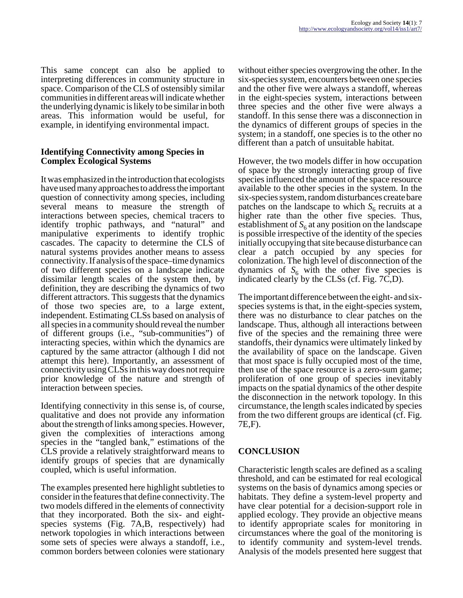This same concept can also be applied to interpreting differences in community structure in space. Comparison of the CLS of ostensibly similar communities in different areas will indicate whether the underlying dynamic is likely to be similar in both areas. This information would be useful, for example, in identifying environmental impact.

### **Identifying Connectivity among Species in Complex Ecological Systems**

It was emphasized in the introduction that ecologists have used many approaches to address the important question of connectivity among species, including several means to measure the strength of interactions between species, chemical tracers to identify trophic pathways, and "natural" and manipulative experiments to identify trophic cascades. The capacity to determine the CLS of natural systems provides another means to assess connectivity. If analysis of the space–time dynamics of two different species on a landscape indicate dissimilar length scales of the system then, by definition, they are describing the dynamics of two different attractors. This suggests that the dynamics of those two species are, to a large extent, independent. Estimating CLSs based on analysis of all species in a community should reveal the number of different groups (i.e., "sub-communities") of interacting species, within which the dynamics are captured by the same attractor (although I did not attempt this here). Importantly, an assessment of connectivity using CLSs in this way does not require prior knowledge of the nature and strength of interaction between species.

Identifying connectivity in this sense is, of course, qualitative and does not provide any information about the strength of links among species. However, given the complexities of interactions among species in the "tangled bank," estimations of the CLS provide a relatively straightforward means to identify groups of species that are dynamically coupled, which is useful information.

The examples presented here highlight subtleties to consider in the features that define connectivity. The two models differed in the elements of connectivity that they incorporated. Both the six- and eightspecies systems (Fig. 7A,B, respectively) had network topologies in which interactions between some sets of species were always a standoff, i.e., common borders between colonies were stationary without either species overgrowing the other. In the six-species system, encounters between one species and the other five were always a standoff, whereas in the eight-species system, interactions between three species and the other five were always a standoff. In this sense there was a disconnection in the dynamics of different groups of species in the system; in a standoff, one species is to the other no different than a patch of unsuitable habitat.

However, the two models differ in how occupation of space by the strongly interacting group of five species influenced the amount of the space resource available to the other species in the system. In the six-species system, random disturbances create bare patches on the landscape to which  $S_6$  recruits at a higher rate than the other five species. Thus, establishment of  $S_6$  at any position on the landscape is possible irrespective of the identity of the species initially occupying that site because disturbance can clear a patch occupied by any species for colonization. The high level of disconnection of the dynamics of  $S_6$  with the other five species is indicated clearly by the CLSs (cf. Fig. 7C,D).

The important difference between the eight- and sixspecies systems is that, in the eight-species system, there was no disturbance to clear patches on the landscape. Thus, although all interactions between five of the species and the remaining three were standoffs, their dynamics were ultimately linked by the availability of space on the landscape. Given that most space is fully occupied most of the time, then use of the space resource is a zero-sum game; proliferation of one group of species inevitably impacts on the spatial dynamics of the other despite the disconnection in the network topology. In this circumstance, the length scales indicated by species from the two different groups are identical (cf. Fig. 7E,F).

### **CONCLUSION**

Characteristic length scales are defined as a scaling threshold, and can be estimated for real ecological systems on the basis of dynamics among species or habitats. They define a system-level property and have clear potential for a decision-support role in applied ecology. They provide an objective means to identify appropriate scales for monitoring in circumstances where the goal of the monitoring is to identify community and system-level trends. Analysis of the models presented here suggest that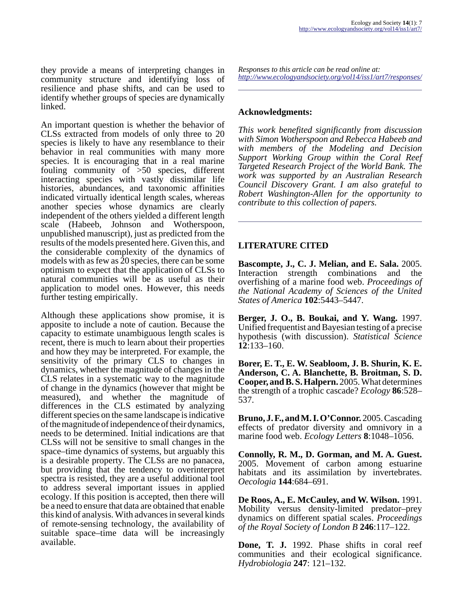they provide a means of interpreting changes in community structure and identifying loss of resilience and phase shifts, and can be used to identify whether groups of species are dynamically linked.

An important question is whether the behavior of CLSs extracted from models of only three to 20 species is likely to have any resemblance to their behavior in real communities with many more species. It is encouraging that in a real marine fouling community of >50 species, different interacting species with vastly dissimilar life histories, abundances, and taxonomic affinities indicated virtually identical length scales, whereas another species whose dynamics are clearly independent of the others yielded a different length scale (Habeeb, Johnson and Wotherspoon, unpublished manuscript), just as predicted from the results of the models presented here. Given this, and the considerable complexity of the dynamics of models with as few as 20 species, there can be some optimism to expect that the application of CLSs to natural communities will be as useful as their application to model ones. However, this needs further testing empirically.

Although these applications show promise, it is apposite to include a note of caution. Because the capacity to estimate unambiguous length scales is recent, there is much to learn about their properties and how they may be interpreted. For example, the sensitivity of the primary CLS to changes in dynamics, whether the magnitude of changes in the CLS relates in a systematic way to the magnitude of change in the dynamics (however that might be measured), and whether the magnitude of differences in the CLS estimated by analyzing different species on the same landscape is indicative of the magnitude of independence of their dynamics, needs to be determined. Initial indications are that CLSs will not be sensitive to small changes in the space–time dynamics of systems, but arguably this is a desirable property. The CLSs are no panacea, but providing that the tendency to overinterpret spectra is resisted, they are a useful additional tool to address several important issues in applied ecology. If this position is accepted, then there will be a need to ensure that data are obtained that enable this kind of analysis. With advances in several kinds of remote-sensing technology, the availability of suitable space–time data will be increasingly available.

*Responses to this article can be read online at: <http://www.ecologyandsociety.org/vol14/iss1/art7/responses/>*

### **Acknowledgments:**

*This work benefited significantly from discussion with Simon Wotherspoon and Rebecca Habeeb and with members of the Modeling and Decision Support Working Group within the Coral Reef Targeted Research Project of the World Bank. The work was supported by an Australian Research Council Discovery Grant. I am also grateful to Robert Washington-Allen for the opportunity to contribute to this collection of papers.*

### **LITERATURE CITED**

**Bascompte, J., C. J. Melian, and E. Sala.** 2005. Interaction strength combinations and the overfishing of a marine food web. *Proceedings of the National Academy of Sciences of the United States of America* **102**:5443–5447.

**Berger, J. O., B. Boukai, and Y. Wang.** 1997. Unified frequentist and Bayesian testing of a precise hypothesis (with discussion). *Statistical Science* **12**:133–160.

**Borer, E. T., E. W. Seabloom, J. B. Shurin, K. E. Anderson, C. A. Blanchette, B. Broitman, S. D. Cooper, and B. S. Halpern.** 2005. What determines the strength of a trophic cascade? *Ecology* **86**:528– 537.

**Bruno, J. F., and M. I. O'Connor.** 2005. Cascading effects of predator diversity and omnivory in a marine food web. *Ecology Letters* **8**:1048–1056.

**Connolly, R. M., D. Gorman, and M. A. Guest.** 2005. Movement of carbon among estuarine habitats and its assimilation by invertebrates. *Oecologia* **144**:684–691.

**De Roos, A., E. McCauley, and W. Wilson.** 1991. Mobility versus density-limited predator–prey dynamics on different spatial scales. *Proceedings of the Royal Society of London B* **246**:117–122.

**Done, T. J.** 1992. Phase shifts in coral reef communities and their ecological significance. *Hydrobiologia* **247**: 121–132.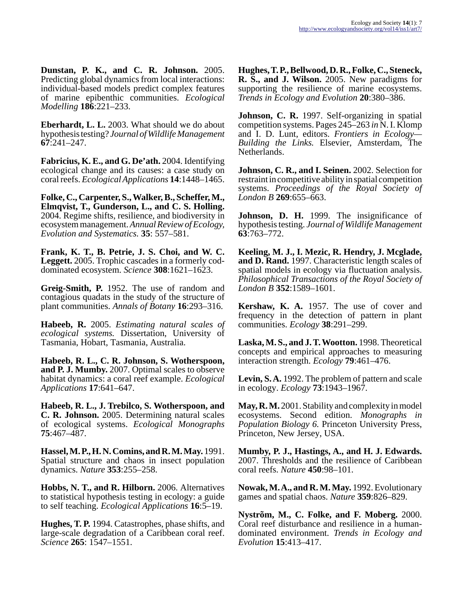**Dunstan, P. K., and C. R. Johnson.** 2005. Predicting global dynamics from local interactions: individual-based models predict complex features of marine epibenthic communities. *Ecological Modelling* **186**:221–233.

**Eberhardt, L. L.** 2003. What should we do about hypothesis testing? *Journal of Wildlife Management* **67**:241–247.

**Fabricius, K. E., and G. De'ath.** 2004. Identifying ecological change and its causes: a case study on coral reefs. *Ecological Applications* **14**:1448–1465.

**Folke, C., Carpenter, S., Walker, B., Scheffer, M., Elmqvist, T., Gunderson, L., and C. S. Holling.** 2004. Regime shifts, resilience, and biodiversity in ecosystem management. *Annual Review of Ecology, Evolution and Systematics.* **35**: 557–581.

**Frank, K. T., B. Petrie, J. S. Choi, and W. C. Leggett.** 2005. Trophic cascades in a formerly coddominated ecosystem. *Science* **308**:1621–1623.

**Greig-Smith, P.** 1952. The use of random and contagious quadats in the study of the structure of plant communities. *Annals of Botany* **16**:293–316.

**Habeeb, R.** 2005. *Estimating natural scales of ecological systems.* Dissertation, University of Tasmania, Hobart, Tasmania, Australia.

**Habeeb, R. L., C. R. Johnson, S. Wotherspoon, and P. J. Mumby.** 2007. Optimal scales to observe habitat dynamics: a coral reef example. *Ecological Applications* **17**:641–647.

**Habeeb, R. L., J. Trebilco, S. Wotherspoon, and C. R. Johnson.** 2005. Determining natural scales of ecological systems. *Ecological Monographs* **75**:467–487.

**Hassel, M. P., H. N. Comins, and R. M. May.** 1991. Spatial structure and chaos in insect population dynamics. *Nature* **353**:255–258.

**Hobbs, N. T., and R. Hilborn.** 2006. Alternatives to statistical hypothesis testing in ecology: a guide to self teaching. *Ecological Applications* **16**:5–19.

**Hughes, T. P.** 1994. Catastrophes, phase shifts, and large-scale degradation of a Caribbean coral reef. *Science* **265**: 1547–1551.

**Hughes, T. P., Bellwood, D. R., Folke, C., Steneck, R. S., and J. Wilson.** 2005. New paradigms for supporting the resilience of marine ecosystems. *Trends in Ecology and Evolution* **20**:380–386.

**Johnson, C. R.** 1997. Self-organizing in spatial competition systems. Pages 245–263 *in* N. I. Klomp and I. D. Lunt, editors. *Frontiers in Ecology— Building the Links.* Elsevier, Amsterdam, The Netherlands.

**Johnson, C. R., and I. Seinen.** 2002. Selection for restraint in competitive ability in spatial competition systems. *Proceedings of the Royal Society of London B* **269**:655–663.

**Johnson, D. H.** 1999. The insignificance of hypothesis testing. *Journal of Wildlife Management* **63**:763–772.

**Keeling, M. J., I. Mezic, R. Hendry, J. Mcglade, and D. Rand.** 1997. Characteristic length scales of spatial models in ecology via fluctuation analysis. *Philosophical Transactions of the Royal Society of London B* **352**:1589–1601.

**Kershaw, K. A.** 1957. The use of cover and frequency in the detection of pattern in plant communities. *Ecology* **38**:291–299.

**Laska, M. S., and J. T. Wootton.** 1998. Theoretical concepts and empirical approaches to measuring interaction strength. *Ecology* **79**:461–476.

**Levin, S. A.** 1992. The problem of pattern and scale in ecology. *Ecology* **73**:1943–1967.

**May, R. M.** 2001. Stability and complexity in model ecosystems. Second edition. *Monographs in Population Biology 6.* Princeton University Press, Princeton, New Jersey, USA.

**Mumby, P. J., Hastings, A., and H. J. Edwards.** 2007. Thresholds and the resilience of Caribbean coral reefs. *Nature* **450**:98–101.

**Nowak, M. A., and R. M. May.** 1992. Evolutionary games and spatial chaos. *Nature* **359**:826–829.

**Nystrõm, M., C. Folke, and F. Moberg.** 2000. Coral reef disturbance and resilience in a humandominated environment. *Trends in Ecology and Evolution* **15**:413–417.